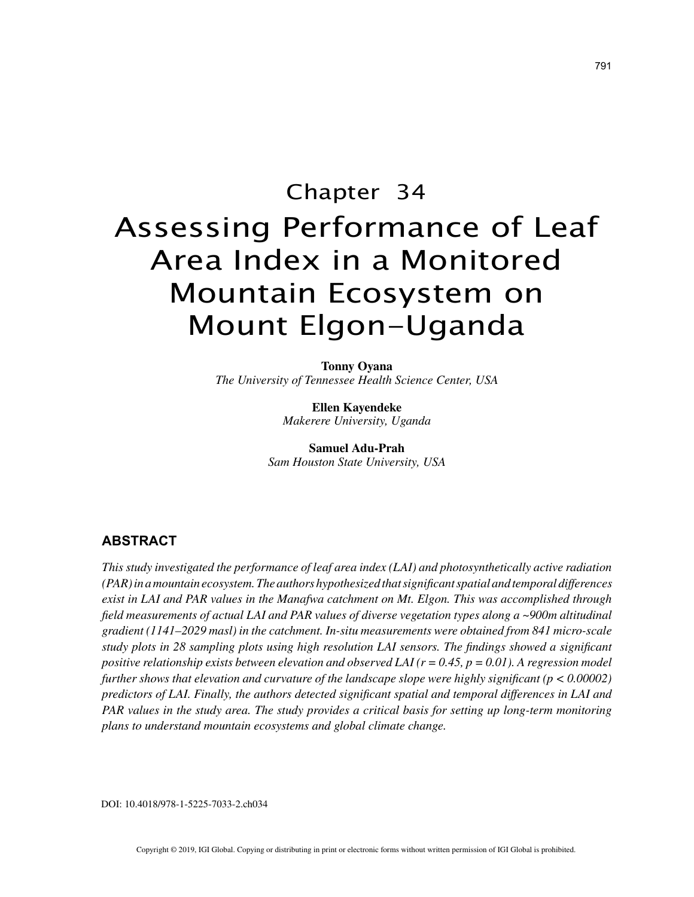# Chapter 34 Assessing Performance of Leaf Area Index in a Monitored Mountain Ecosystem on Mount Elgon-Uganda

**Tonny Oyana** *The University of Tennessee Health Science Center, USA*

> **Ellen Kayendeke** *Makerere University, Uganda*

**Samuel Adu-Prah** *Sam Houston State University, USA*

## **ABSTRACT**

*This study investigated the performance of leaf area index (LAI) and photosynthetically active radiation (PAR) in a mountain ecosystem. The authors hypothesized that significant spatial and temporal differences exist in LAI and PAR values in the Manafwa catchment on Mt. Elgon. This was accomplished through field measurements of actual LAI and PAR values of diverse vegetation types along a ~900m altitudinal gradient (1141–2029 masl) in the catchment. In-situ measurements were obtained from 841 micro-scale study plots in 28 sampling plots using high resolution LAI sensors. The findings showed a significant positive relationship exists between elevation and observed LAI (r = 0.45, p = 0.01). A regression model further shows that elevation and curvature of the landscape slope were highly significant (p < 0.00002) predictors of LAI. Finally, the authors detected significant spatial and temporal differences in LAI and PAR values in the study area. The study provides a critical basis for setting up long-term monitoring plans to understand mountain ecosystems and global climate change.*

DOI: 10.4018/978-1-5225-7033-2.ch034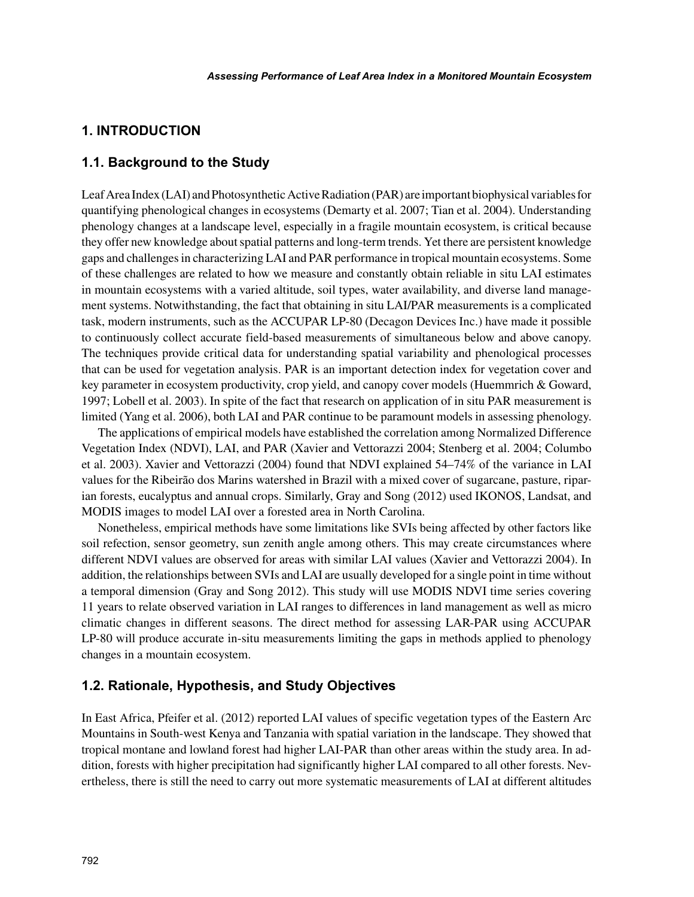## **1. INTRODUCTION**

## **1.1. Background to the Study**

Leaf Area Index (LAI) and Photosynthetic Active Radiation (PAR) are important biophysical variables for quantifying phenological changes in ecosystems (Demarty et al. 2007; Tian et al. 2004). Understanding phenology changes at a landscape level, especially in a fragile mountain ecosystem, is critical because they offer new knowledge about spatial patterns and long-term trends. Yet there are persistent knowledge gaps and challenges in characterizing LAI and PAR performance in tropical mountain ecosystems. Some of these challenges are related to how we measure and constantly obtain reliable in situ LAI estimates in mountain ecosystems with a varied altitude, soil types, water availability, and diverse land management systems. Notwithstanding, the fact that obtaining in situ LAI/PAR measurements is a complicated task, modern instruments, such as the ACCUPAR LP-80 (Decagon Devices Inc.) have made it possible to continuously collect accurate field-based measurements of simultaneous below and above canopy. The techniques provide critical data for understanding spatial variability and phenological processes that can be used for vegetation analysis. PAR is an important detection index for vegetation cover and key parameter in ecosystem productivity, crop yield, and canopy cover models (Huemmrich & Goward, 1997; Lobell et al. 2003). In spite of the fact that research on application of in situ PAR measurement is limited (Yang et al. 2006), both LAI and PAR continue to be paramount models in assessing phenology.

The applications of empirical models have established the correlation among Normalized Difference Vegetation Index (NDVI), LAI, and PAR (Xavier and Vettorazzi 2004; Stenberg et al. 2004; Columbo et al. 2003). Xavier and Vettorazzi (2004) found that NDVI explained 54–74% of the variance in LAI values for the Ribeirão dos Marins watershed in Brazil with a mixed cover of sugarcane, pasture, riparian forests, eucalyptus and annual crops. Similarly, Gray and Song (2012) used IKONOS, Landsat, and MODIS images to model LAI over a forested area in North Carolina.

Nonetheless, empirical methods have some limitations like SVIs being affected by other factors like soil refection, sensor geometry, sun zenith angle among others. This may create circumstances where different NDVI values are observed for areas with similar LAI values (Xavier and Vettorazzi 2004). In addition, the relationships between SVIs and LAI are usually developed for a single point in time without a temporal dimension (Gray and Song 2012). This study will use MODIS NDVI time series covering 11 years to relate observed variation in LAI ranges to differences in land management as well as micro climatic changes in different seasons. The direct method for assessing LAR-PAR using ACCUPAR LP-80 will produce accurate in-situ measurements limiting the gaps in methods applied to phenology changes in a mountain ecosystem.

## **1.2. Rationale, Hypothesis, and Study Objectives**

In East Africa, Pfeifer et al. (2012) reported LAI values of specific vegetation types of the Eastern Arc Mountains in South-west Kenya and Tanzania with spatial variation in the landscape. They showed that tropical montane and lowland forest had higher LAI-PAR than other areas within the study area. In addition, forests with higher precipitation had significantly higher LAI compared to all other forests. Nevertheless, there is still the need to carry out more systematic measurements of LAI at different altitudes